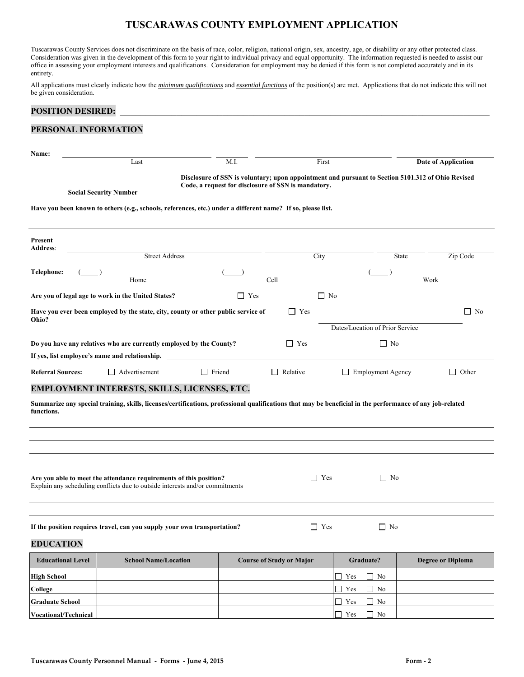Tuscarawas County Services does not discriminate on the basis of race, color, religion, national origin, sex, ancestry, age, or disability or any other protected class. Consideration was given in the development of this form to your right to individual privacy and equal opportunity. The information requested is needed to assist our office in assessing your employment interests and qualifications. Consideration for employment may be denied if this form is not completed accurately and in its entirety.

All applications must clearly indicate how the *minimum qualifications* and *essential functions* of the position(s) are met. Applications that do not indicate this will not be given consideration.

#### POSITION DESIRED:

#### **PERSONAL INFORMATION**

| Name:                      |                                                                                                                                                           |               |                                                     |                                                |                                                                                                   |
|----------------------------|-----------------------------------------------------------------------------------------------------------------------------------------------------------|---------------|-----------------------------------------------------|------------------------------------------------|---------------------------------------------------------------------------------------------------|
|                            | Last                                                                                                                                                      | M.I.          | First                                               |                                                | <b>Date of Application</b>                                                                        |
|                            |                                                                                                                                                           |               |                                                     |                                                | Disclosure of SSN is voluntary; upon appointment and pursuant to Section 5101.312 of Ohio Revised |
|                            | <b>Social Security Number</b>                                                                                                                             |               | Code, a request for disclosure of SSN is mandatory. |                                                |                                                                                                   |
|                            | Have you been known to others (e.g., schools, references, etc.) under a different name? If so, please list.                                               |               |                                                     |                                                |                                                                                                   |
| Present<br><b>Address:</b> |                                                                                                                                                           |               |                                                     |                                                |                                                                                                   |
|                            | <b>Street Address</b>                                                                                                                                     |               | City                                                |                                                | Zip Code<br>State                                                                                 |
| Telephone:                 | Home                                                                                                                                                      |               | Cell                                                |                                                | Work                                                                                              |
|                            | Are you of legal age to work in the United States?                                                                                                        | $\Box$ Yes    | $\Box$ No                                           |                                                |                                                                                                   |
|                            |                                                                                                                                                           |               |                                                     |                                                |                                                                                                   |
| Ohio?                      | Have you ever been employed by the state, city, county or other public service of                                                                         |               | $\Box$ Yes                                          |                                                | $\Box$ No                                                                                         |
|                            |                                                                                                                                                           |               |                                                     | Dates/Location of Prior Service                |                                                                                                   |
|                            | Do you have any relatives who are currently employed by the County?                                                                                       |               | $\Box$ Yes                                          | $\Box$ No                                      |                                                                                                   |
|                            | If yes, list employee's name and relationship.                                                                                                            |               |                                                     |                                                |                                                                                                   |
| <b>Referral Sources:</b>   | $\Box$ Advertisement                                                                                                                                      | $\Box$ Friend | $\Box$ Relative                                     | Employment Agency                              | $\Box$ Other                                                                                      |
|                            | EMPLOYMENT INTERESTS, SKILLS, LICENSES, ETC.                                                                                                              |               |                                                     |                                                |                                                                                                   |
| functions.                 | Summarize any special training, skills, licenses/certifications, professional qualifications that may be beneficial in the performance of any job-related |               |                                                     |                                                |                                                                                                   |
|                            |                                                                                                                                                           |               |                                                     |                                                |                                                                                                   |
|                            |                                                                                                                                                           |               |                                                     |                                                |                                                                                                   |
|                            | Are you able to meet the attendance requirements of this position?<br>Explain any scheduling conflicts due to outside interests and/or commitments        |               | $\Box$ Yes                                          | $\Box$ No                                      |                                                                                                   |
|                            | If the position requires travel, can you supply your own transportation?                                                                                  |               | $\Box$ Yes                                          | $\Box$ No                                      |                                                                                                   |
| <b>EDUCATION</b>           |                                                                                                                                                           |               |                                                     |                                                |                                                                                                   |
| <b>Educational Level</b>   | <b>School Name/Location</b>                                                                                                                               |               | <b>Course of Study or Major</b>                     | Graduate?                                      | <b>Degree or Diploma</b>                                                                          |
| <b>High School</b>         |                                                                                                                                                           |               |                                                     | $\Box$ Yes<br>N <sub>0</sub><br>$\blacksquare$ |                                                                                                   |
| College                    |                                                                                                                                                           |               |                                                     | $\Box$ Yes<br>$\Box$ No                        |                                                                                                   |
| <b>Graduate School</b>     |                                                                                                                                                           |               |                                                     | $\Box$ Yes<br>$\Box$ No                        |                                                                                                   |
| Vocational/Technical       |                                                                                                                                                           |               |                                                     | $\Box$ Yes<br>$\Box$ No                        |                                                                                                   |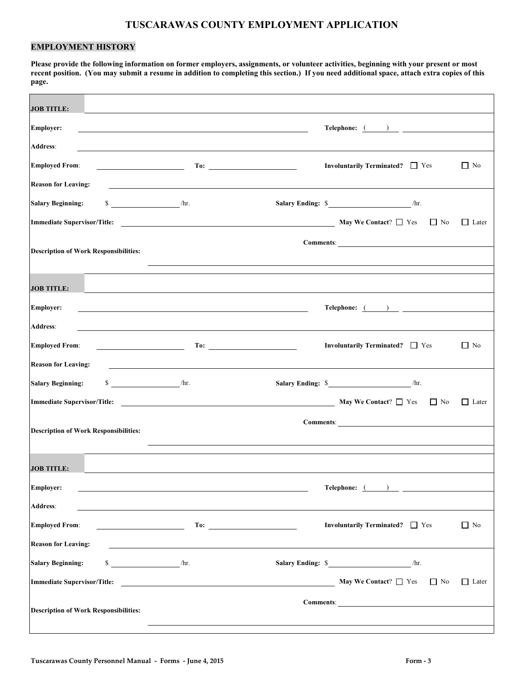### **EMPLOYMENT HISTORY**

**Please provide the following information on former employers, assignments, or volunteer activities, beginning with your present or most recent position. (You may submit a resume in addition to completing this section.) If you need additional space, attach extra copies of this page.** 

| <b>JOB TITLE:</b>                                                                                                                                           |                                                                                                                                                                                                                                                                                                                                                                                                                                                                                                                                                                                                                                 |
|-------------------------------------------------------------------------------------------------------------------------------------------------------------|---------------------------------------------------------------------------------------------------------------------------------------------------------------------------------------------------------------------------------------------------------------------------------------------------------------------------------------------------------------------------------------------------------------------------------------------------------------------------------------------------------------------------------------------------------------------------------------------------------------------------------|
| <b>Employer:</b>                                                                                                                                            | $\begin{tabular}{c} \bf Telephone: & \text{\textcolor{red}{\large ( \textcolor{blue}{\large )}} \textcolor{red}{\bf \large \color{green}{\large ( \textcolor{blue}{\large )}} \textcolor{red}{\bf \large \color{green}{\large ( \textcolor{blue}{\large )}} \textcolor{red}{\bf \large \color{green}{\large ( \textcolor{blue}{\large )}} \textcolor{red}{\bf \large \color{green}{\large ( \textcolor{blue}{\large )}} \textcolor{red}{\bf \large \color{green}{\large ( \textcolor{blue}{\large )}} \textcolor{red}{\bf \large \color{green}{\large ( \textcolor{blue}{\large )}} \textcolor{red}{\bf \large \color{green}{\$ |
| <b>Address:</b>                                                                                                                                             |                                                                                                                                                                                                                                                                                                                                                                                                                                                                                                                                                                                                                                 |
| <b>Employed From:</b>                                                                                                                                       | Involuntarily Terminated? □ Yes<br>$\Box$ No                                                                                                                                                                                                                                                                                                                                                                                                                                                                                                                                                                                    |
| <b>Reason for Leaving:</b><br>and the control of the control of the control of the control of the control of the control of the control of the              |                                                                                                                                                                                                                                                                                                                                                                                                                                                                                                                                                                                                                                 |
| $\int$ /hr.<br><b>Salary Beginning:</b>                                                                                                                     | Salary Ending: \$ /hr.                                                                                                                                                                                                                                                                                                                                                                                                                                                                                                                                                                                                          |
| <b>Immediate Supervisor/Title:</b><br><u> 1989 - Johann John Stone, markin fan it ferstjer fan de ferstjer fan it ferstjer fan it ferstjer fan it fers</u>  | May We Contact? $\Box$ Yes<br>$\Box$ No<br>$\Box$ Later                                                                                                                                                                                                                                                                                                                                                                                                                                                                                                                                                                         |
| <b>Description of Work Responsibilities:</b>                                                                                                                |                                                                                                                                                                                                                                                                                                                                                                                                                                                                                                                                                                                                                                 |
| <b>JOB TITLE:</b>                                                                                                                                           |                                                                                                                                                                                                                                                                                                                                                                                                                                                                                                                                                                                                                                 |
| <b>Employer:</b><br><u> 1989 - Johann Stoff, amerikansk politiker (* 1908)</u>                                                                              | $\begin{tabular}{c} \bf Telephone: & \text{\textcolor{red}{\large \textbf{}}\textbf{}} & \text{\textcolor{red}{\bf -} \textbf{}} \\ \end{tabular}$                                                                                                                                                                                                                                                                                                                                                                                                                                                                              |
| <b>Address:</b>                                                                                                                                             |                                                                                                                                                                                                                                                                                                                                                                                                                                                                                                                                                                                                                                 |
| <b>Employed From:</b><br>To:<br><u> Alexandria (Carlo Carlo Carlo Carlo Carlo Carlo Carlo Carlo Carlo Carlo Carlo Carlo Carlo Carlo Carlo Carlo Ca</u>      | Involuntarily Terminated? □ Yes<br>$\Box$ No                                                                                                                                                                                                                                                                                                                                                                                                                                                                                                                                                                                    |
| <b>Reason for Leaving:</b><br><u> 1989 - Johann Barbara, markazi ya mshindi ya matu ya matu ya matu ya matu ya matu ya matu ya matu ya matu ya</u>          |                                                                                                                                                                                                                                                                                                                                                                                                                                                                                                                                                                                                                                 |
| $\int$ /hr.<br><b>Salary Beginning:</b>                                                                                                                     | Salary Ending: \$ /hr.                                                                                                                                                                                                                                                                                                                                                                                                                                                                                                                                                                                                          |
| <b>Immediate Supervisor/Title:</b><br><u> 1990 - Johann Barbara, martin amerikan basar dan berasal dan berasal dalam basar dalam basar dalam basar dala</u> | May We Contact? $\Box$ Yes<br>$\Box$ No<br>$\Box$ Later                                                                                                                                                                                                                                                                                                                                                                                                                                                                                                                                                                         |
| <b>Description of Work Responsibilities:</b>                                                                                                                | Comments: <u>comments</u>                                                                                                                                                                                                                                                                                                                                                                                                                                                                                                                                                                                                       |
| <b>JOB TITLE:</b>                                                                                                                                           |                                                                                                                                                                                                                                                                                                                                                                                                                                                                                                                                                                                                                                 |
| <b>Employer:</b>                                                                                                                                            | $\begin{tabular}{c} \bf Telephone: & \text{\textcolor{red}{\large \textbf{}}\textbf{}} & \text{\textcolor{red}{\bf -} \textbf{}} \\ \end{tabular}$                                                                                                                                                                                                                                                                                                                                                                                                                                                                              |
| Address:                                                                                                                                                    |                                                                                                                                                                                                                                                                                                                                                                                                                                                                                                                                                                                                                                 |
| <b>Employed From:</b>                                                                                                                                       | Involuntarily Terminated? □ Yes<br>$\Box$ No                                                                                                                                                                                                                                                                                                                                                                                                                                                                                                                                                                                    |
| <b>Reason for Leaving:</b>                                                                                                                                  |                                                                                                                                                                                                                                                                                                                                                                                                                                                                                                                                                                                                                                 |
| $\int$ /hr.<br><b>Salary Beginning:</b>                                                                                                                     | Salary Ending: \$ /hr.                                                                                                                                                                                                                                                                                                                                                                                                                                                                                                                                                                                                          |
| <b>Immediate Supervisor/Title:</b>                                                                                                                          | May We Contact? $\Box$ Yes<br>$\Box$ Later<br>$\Box$ No                                                                                                                                                                                                                                                                                                                                                                                                                                                                                                                                                                         |
| <b>Description of Work Responsibilities:</b>                                                                                                                | Comments: <u>Comments:</u>                                                                                                                                                                                                                                                                                                                                                                                                                                                                                                                                                                                                      |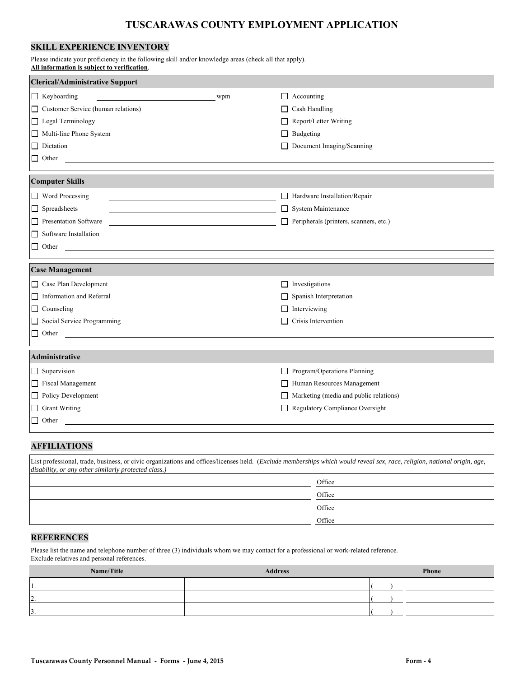### **SKILL EXPERIENCE INVENTORY**

Please indicate your proficiency in the following skill and/or knowledge areas (check all that apply). **All information is subject to verification**.

| <b>Clerical/Administrative Support</b> |     |                                        |  |  |
|----------------------------------------|-----|----------------------------------------|--|--|
| $\Box$ Keyboarding                     | wpm | Accounting<br>$\mathsf{L}$             |  |  |
| Customer Service (human relations)     |     | Cash Handling<br>$\mathsf{L}$          |  |  |
| □ Legal Terminology                    |     | Report/Letter Writing<br>$\perp$       |  |  |
| Multi-line Phone System                |     | Budgeting                              |  |  |
| $\Box$ Dictation                       |     | Document Imaging/Scanning              |  |  |
| $\Box$ Other                           |     |                                        |  |  |
|                                        |     |                                        |  |  |
| <b>Computer Skills</b>                 |     |                                        |  |  |
| Word Processing                        |     | Hardware Installation/Repair           |  |  |
| $\Box$ Spreadsheets                    |     | System Maintenance                     |  |  |
| Presentation Software                  |     | Peripherals (printers, scanners, etc.) |  |  |
| $\Box$ Software Installation           |     |                                        |  |  |
| $\hfill\Box$ Other                     |     |                                        |  |  |
|                                        |     |                                        |  |  |
| <b>Case Management</b>                 |     |                                        |  |  |
| $\Box$ Case Plan Development           |     | Investigations<br>$\mathsf{L}$         |  |  |
| Information and Referral               |     | Spanish Interpretation                 |  |  |
| $\Box$ Counseling                      |     | Interviewing                           |  |  |
| Social Service Programming             |     | Crisis Intervention                    |  |  |
| $\Box$ Other                           |     |                                        |  |  |
|                                        |     |                                        |  |  |
| Administrative                         |     |                                        |  |  |
| $\Box$ Supervision                     |     | Program/Operations Planning<br>П       |  |  |
| Fiscal Management                      |     | Human Resources Management             |  |  |
| Policy Development                     |     | Marketing (media and public relations) |  |  |
| $\Box$ Grant Writing                   |     | Regulatory Compliance Oversight        |  |  |
| $\Box$ Other                           |     |                                        |  |  |
|                                        |     |                                        |  |  |

### **AFFILIATIONS**

| List professional, trade, business, or civic organizations and offices/licenses held. (Exclude memberships which would reveal sex, race, religion, national origin, age,<br>disability, or any other similarly protected class.) |        |  |  |
|----------------------------------------------------------------------------------------------------------------------------------------------------------------------------------------------------------------------------------|--------|--|--|
|                                                                                                                                                                                                                                  | Office |  |  |
|                                                                                                                                                                                                                                  | Office |  |  |
|                                                                                                                                                                                                                                  | Office |  |  |
|                                                                                                                                                                                                                                  | Office |  |  |

#### **REFERENCES**

Please list the name and telephone number of three (3) individuals whom we may contact for a professional or work-related reference. Exclude relatives and personal references.

| Name/Title | <b>Address</b> | <b>Phone</b> |
|------------|----------------|--------------|
| 11.        |                |              |
| 2.         |                |              |
| 3.         |                |              |